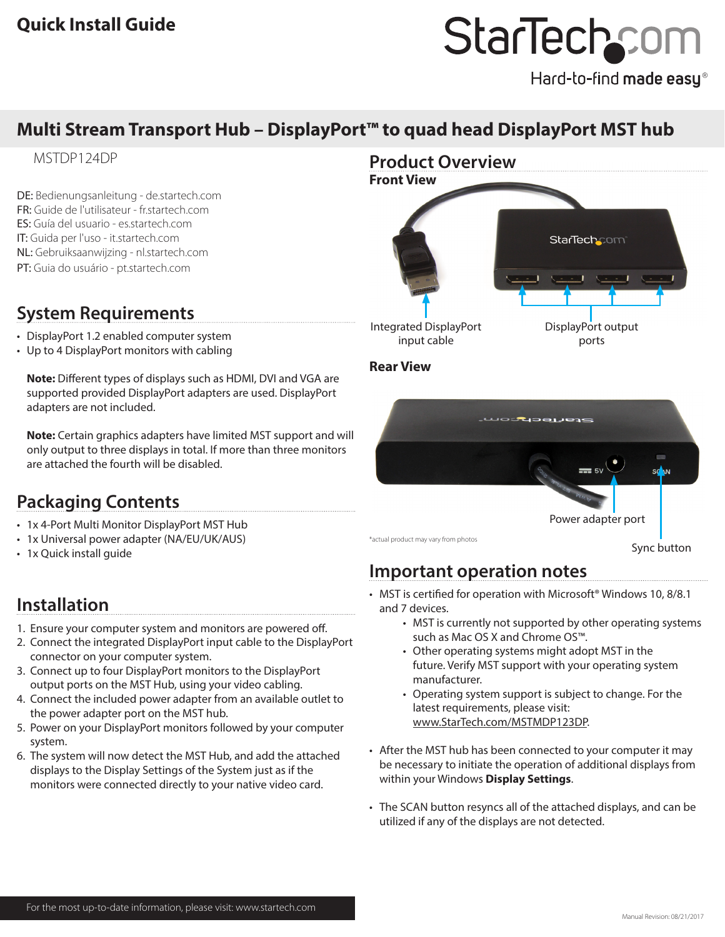# StarTechcom

Hard-to-find made easy®

# **Multi Stream Transport Hub – DisplayPort™ to quad head DisplayPort MST hub**

## MSTDP124DP

DE: Bedienungsanleitung - de.startech.com FR: Guide de l'utilisateur - fr.startech.com ES: Guía del usuario - es.startech.com IT: Guida per l'uso - it.startech.com NL: Gebruiksaanwijzing - nl.startech.com PT: Guia do usuário - pt.startech.com

## **System Requirements**

- DisplayPort 1.2 enabled computer system
- Up to 4 DisplayPort monitors with cabling

**Note:** Different types of displays such as HDMI, DVI and VGA are supported provided DisplayPort adapters are used. DisplayPort adapters are not included.

**Note:** Certain graphics adapters have limited MST support and will only output to three displays in total. If more than three monitors are attached the fourth will be disabled.

## **Packaging Contents**

- 1x 4-Port Multi Monitor DisplayPort MST Hub
- 1x Universal power adapter (NA/EU/UK/AUS)
- 1x Quick install guide

## **Installation**

- 1. Ensure your computer system and monitors are powered off.
- 2. Connect the integrated DisplayPort input cable to the DisplayPort connector on your computer system.
- 3. Connect up to four DisplayPort monitors to the DisplayPort output ports on the MST Hub, using your video cabling.
- 4. Connect the included power adapter from an available outlet to the power adapter port on the MST hub.
- 5. Power on your DisplayPort monitors followed by your computer system.
- 6. The system will now detect the MST Hub, and add the attached displays to the Display Settings of the System just as if the monitors were connected directly to your native video card.



#### **Rear View**



# **Important operation notes**

- MST is certified for operation with Microsoft<sup>®</sup> Windows 10, 8/8.1 and 7 devices.
	- MST is currently not supported by other operating systems such as Mac OS X and Chrome OS™.
	- Other operating systems might adopt MST in the future. Verify MST support with your operating system manufacturer.
	- Operating system support is subject to change. For the latest requirements, please visit: www.StarTech.com/MSTMDP123DP.
- After the MST hub has been connected to your computer it may be necessary to initiate the operation of additional displays from within your Windows **Display Settings**.
- The SCAN button resyncs all of the attached displays, and can be utilized if any of the displays are not detected.